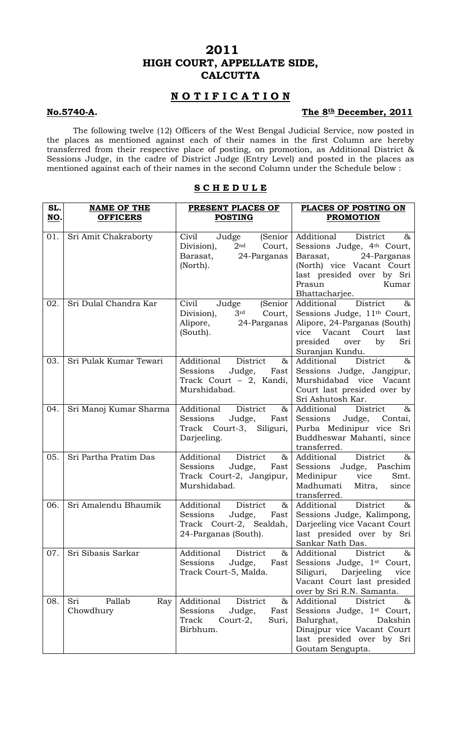# **2011 HIGH COURT, APPELLATE SIDE, CALCUTTA**

## **N O T I F I C A T I O N**

### **No.5740-A.** The 8<sup>th</sup> December, 2011

 The following twelve (12) Officers of the West Bengal Judicial Service, now posted in the places as mentioned against each of their names in the first Column are hereby transferred from their respective place of posting, on promotion, as Additional District & Sessions Judge, in the cadre of District Judge (Entry Level) and posted in the places as mentioned against each of their names in the second Column under the Schedule below :

| SL.<br>NO. | <b>NAME OF THE</b><br><b>OFFICERS</b> | PRESENT PLACES OF<br><b>POSTING</b>                                                                          | PLACES OF POSTING ON<br><b>PROMOTION</b>                                                                                                                                                       |
|------------|---------------------------------------|--------------------------------------------------------------------------------------------------------------|------------------------------------------------------------------------------------------------------------------------------------------------------------------------------------------------|
|            |                                       |                                                                                                              |                                                                                                                                                                                                |
| 01.        | Sri Amit Chakraborty                  | (Senior<br>Civil<br>Judge<br>2 <sup>nd</sup><br>Court,<br>Division),<br>Barasat, 24-Parganas<br>(North).     | Additional<br>District<br>$\&$<br>Sessions Judge, 4th Court,<br>Barasat, 24-Parganas<br>(North) vice Vacant Court<br>last presided over by Sri<br>Prasun<br>Kumar<br>Bhattacharjee.            |
| 02.        | Sri Dulal Chandra Kar                 | Civil<br>(Senior<br>Judge<br>3rd Court,<br>Division),<br>Alipore, 24-Parganas<br>(South).                    | District<br>Additional<br>$\alpha$<br>Sessions Judge, 11 <sup>th</sup> Court,<br>Alipore, 24-Parganas (South)<br>vice Vacant Court<br>last<br>presided<br>by<br>Sri<br>over<br>Suranjan Kundu. |
| 03.        | Sri Pulak Kumar Tewari                | District<br>Additional<br>&<br>Judge,<br>Sessions<br>Fast<br>Track Court - 2, Kandi,<br>Murshidabad.         | District<br>Additional<br>$\infty$<br>Sessions Judge, Jangipur,<br>Murshidabad vice Vacant<br>Court last presided over by<br>Sri Ashutosh Kar.                                                 |
| 04.        | Sri Manoj Kumar Sharma                | Additional District<br>$\&$<br>Sessions<br>Judge,<br>Fast<br>Track Court-3, Siliguri,<br>Darjeeling.         | District<br>Additional<br>&<br>Sessions<br>Judge, Contai,<br>Purba Medinipur vice Sri<br>Buddheswar Mahanti, since<br>transferred.                                                             |
| 05.        | Sri Partha Pratim Das                 | Additional District<br>&<br>Judge,<br>Sessions<br>Fast<br>Track Court-2, Jangipur,<br>Murshidabad.           | Additional<br>District<br>$\&$<br>Sessions Judge, Paschim<br>Medinipur vice<br>Smt.<br>Madhumati<br>Mitra,<br>since<br>transferred.                                                            |
| 06.        | Sri Amalendu Bhaumik                  | Additional<br>District<br>&<br>Judge,<br>Sessions<br>Fast<br>Track Court-2, Sealdah,<br>24-Parganas (South). | Additional<br>District<br>$\infty$<br>Sessions Judge, Kalimpong,<br>Darjeeling vice Vacant Court<br>last presided over by Sri<br>Sankar Nath Das.                                              |
| 07.        | Sri Sibasis Sarkar                    | Additional<br>District<br>&<br>Sessions<br>Judge,<br>Fast<br>Track Court-5, Malda.                           | District<br>Additional<br>&<br>Sessions Judge, 1 <sup>st</sup> Court,<br>Siliguri,<br>Darjeeling<br>vice<br>Vacant Court last presided<br>over by Sri R.N. Samanta.                            |
| 08.        | Sri<br>Pallab<br>Ray<br>Chowdhury     | Additional<br>District<br>$\&$<br>Sessions<br>Judge,<br>Fast<br>Track<br>Court-2,<br>Suri,<br>Birbhum.       | Additional<br>District<br>$\&$<br>Sessions Judge, 1 <sup>st</sup> Court,<br>Balurghat,<br>Dakshin<br>Dinajpur vice Vacant Court<br>last presided over by Sri<br>Goutam Sengupta.               |

## **S C H E D U L E**